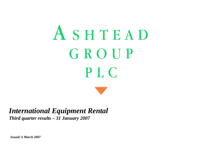# ASHTEAD GROUP **PLC**



*Issued: 6 March 2007*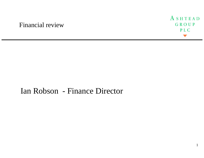# Financial review



# Ian Robson - Finance Director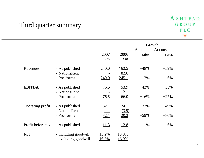# Third quarter summary

|                   |                                              |                       |                       |                    | Growth               |
|-------------------|----------------------------------------------|-----------------------|-----------------------|--------------------|----------------------|
|                   |                                              | 2007<br>$\pounds$ m   | 2006<br>$\pounds$ m   | At actual<br>rates | At constant<br>rates |
| Revenues          | - As published<br>- NationsRent              | 240.0                 | 162.5<br>82.6         | $+48%$             | $+59%$               |
|                   | - Pro-forma                                  | 240.0                 | <u>245.1</u>          | $-2\%$             | $+6\%$               |
| <b>EBITDA</b>     | - As published<br>- NationsRent              | 76.5                  | 53.9<br><u>12.1</u>   | $+42%$             | $+55%$               |
|                   | - Pro-forma                                  | 76.5                  | <u>66.0</u>           | $+16%$             | $+27%$               |
| Operating profit  | - As published<br>- NationsRent              | 32.1                  | 24.1<br>(3.9)         | $+33%$             | $+49%$               |
|                   | - Pro-forma                                  | 32.1                  | 20.2                  | $+59%$             | $+80%$               |
| Profit before tax | - As published                               | <u>11.3</u>           | <u>12.8</u>           | $-11%$             | $+6\%$               |
| RoI               | - including goodwill<br>- excluding goodwill | 13.2%<br><u>16.5%</u> | 13.8%<br><u>16.9%</u> |                    |                      |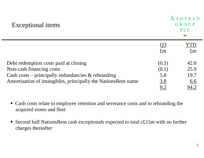| <b>Exceptional items</b>                                       |                          | SHTEAD<br>GROUP<br>PLC     |
|----------------------------------------------------------------|--------------------------|----------------------------|
|                                                                | <u>Q3</u><br>$\pounds$ m | $\cdot$ [D]<br>$\pounds$ m |
| Debt redemption costs paid at closing                          | (0.3)                    | 42.0                       |
| Non-cash financing costs                                       | (0.1)                    | 25.9                       |
| Cash costs – principally redundancies $\&$ rebranding          | 5.8                      | 19.7                       |
| Amortisation of intangibles, principally the Nations Rent name | <u>3.8</u>               | <u>6.6</u>                 |
|                                                                | $\underline{9.2}$        | <u>94.2</u>                |

- Cash costs relate to employee retention and severance costs and to rebranding the acquired stores and fleet
- Second half NationsRent cash exceptionals expected to total c£15m with no further charges thereafter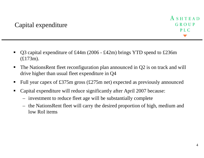- $\blacksquare$  Q3 capital expenditure of £44m (2006 - £42m) brings YTD spend to £236m (£173m).
- $\blacksquare$  The NationsRent fleet reconfiguration plan announced in Q2 is on track and will drive higher than usual fleet expenditure in Q4
- $\blacksquare$ Full year capex of £375m gross (£275m net) expected as previously announced
- $\blacksquare$  Capital expenditure will reduce significantly after April 2007 because:
	- investment to reduce fleet age will be substantially complete
	- – the NationsRent fleet will carry the desired proportion of high, medium and low RoI items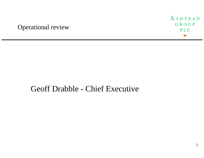# Operational review



# Geoff Drabble - Chief Executive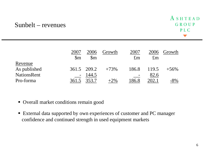# Sunbelt – revenues

|                    | 2007             | 2006             | Growth | 2007        | 2006        | Growth  |
|--------------------|------------------|------------------|--------|-------------|-------------|---------|
|                    | $\mathbb{S}_{m}$ | $\mathbb{S}_{m}$ |        | $\pounds$ m | $\pounds$ m |         |
| Revenue            |                  |                  |        |             |             |         |
| As published       |                  | 361.5 209.2      | $+73%$ | 186.8       | 119.5       | $+56\%$ |
| <b>NationsRent</b> | $\blacksquare$   | 144.5            |        |             | 82.6        |         |
| Pro-forma          | 361.5            | 353.7            | $2\%$  | 86.8        |             | $-8\%$  |

Overall market conditions remain good

 External data supported by own experiences of customer and PC manager confidence and continued strength in used equipment markets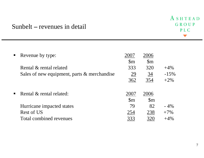## Sunbelt **–** revenues in detail

| $\blacksquare$ | Revenue by type:                            | 2007             | 2006             |        |
|----------------|---------------------------------------------|------------------|------------------|--------|
|                |                                             | $\mathbb{S}_{m}$ | $\mathbb{S}_{m}$ |        |
|                | Rental & rental related                     | 333              | 320              | $+4\%$ |
|                | Sales of new equipment, parts & merchandise | <u>29</u>        | <u>34</u>        | $-15%$ |
|                |                                             | 362              | 354              | $+2\%$ |
|                |                                             |                  |                  |        |
| $\blacksquare$ | Rental & rental related:                    | 2007             | 2006             |        |
|                |                                             | $\mathbb{S}_{m}$ | $\mathbb{S}_{m}$ |        |
|                | Hurricane impacted states                   | 79               | 82               | $-4\%$ |
|                | Rest of US                                  | 254              | 238              | $+7\%$ |
|                | Total combined revenues                     | 333              | 320              | $+4\%$ |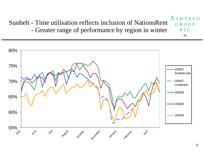A **SHTEAD** Sunbelt - Time utilisation reflects inclusion of NationsRent GROUP Greater range of performance by region in winter PL<sub>C</sub> -

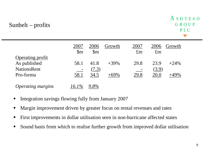# Sunbelt – profits

|                          | 2007<br>$\mathfrak{S}_{m}$ | 2006<br>$\mathbb{S}_{m}$ | Growth | 2007<br>$\pounds$ m | 2006<br>$\pounds$ m | Growth  |
|--------------------------|----------------------------|--------------------------|--------|---------------------|---------------------|---------|
| <b>Operating profit</b>  |                            |                          |        |                     |                     |         |
| As published             | 58.1                       | 41.8                     | $+39%$ | 29.8                | 23.9                | $+24\%$ |
| <b>NationsRent</b>       |                            | (7.3)                    |        |                     | (3.9)               |         |
| Pro-forma                | 58.1                       | 34.5                     |        | <u>29.8</u>         | <u>20.0</u>         |         |
|                          |                            |                          |        |                     |                     |         |
| <b>Operating margins</b> | 6.1%                       |                          |        |                     |                     |         |

- $\blacksquare$ Integration savings flowing fully from January 2007
- $\blacksquare$ Margin improvement driven by greater focus on rental revenues and rates
- $\overline{\phantom{a}}$ First improvements in dollar utilisation seen in non-hurricane affected states
- $\blacksquare$ Sound basis from which to realise further growth from improved dollar utilisation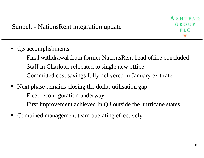ASHTEAD GROUP  $P<sub>L</sub> C$ 

- $\blacksquare$  Q3 accomplishments:
	- Final withdrawal from former NationsRent head office concluded
	- –Staff in Charlotte relocated to single new office
	- –Committed cost savings fully delivered in January exit rate
- Next phase remains closing the dollar utilisation gap:
	- –Fleet reconfiguration underway
	- –First improvement achieved in Q3 outside the hurricane states
- $\blacksquare$ Combined management team operating effectively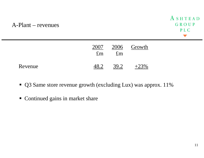#### A-Plant – revenues



|         | 2007<br>$\pounds$ m | $\pounds$ m | 2006 Growth |
|---------|---------------------|-------------|-------------|
| Revenue |                     | 39.2        |             |

- Q3 Same store revenue growth (excluding Lux) was approx. 11%
- Continued gains in market share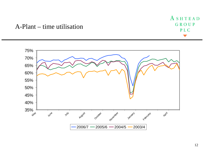ASHTEAD GROUP PLC

## A-Plant – time utilisation

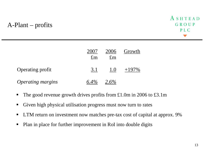# A-Plant – profits



|                          | £m  | 2006<br>£m | Growth |
|--------------------------|-----|------------|--------|
| <b>Operating profit</b>  | 3.1 | 1.0        | $+19$  |
| <b>Operating margins</b> |     | $6\%$      |        |

- п The good revenue growth drives profits from £1.0m in 2006 to £3.1m
- П Given high physical utilisation progress must now turn to rates
- $\blacksquare$ LTM return on investment now matches pre-tax cost of capital at approx. 9%
- П Plan in place for further improvement in RoI into double digits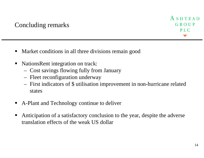- Market conditions in all three divisions remain good
- ٠ NationsRent integration on track:
	- Cost savings flowing fully from January
	- Fleet reconfiguration underway
	- – First indicators of \$ utilisation improvement in non-hurricane related states
- ٠ A-Plant and Technology continue to deliver
- Anticipation of a satisfactory conclusion to the year, despite the adverse translation effects of the weak US dollar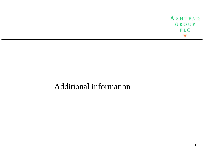ASHTEAD GROUP PLC

# Additional information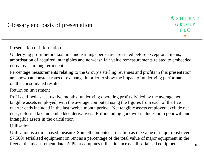#### Presentation of information

Underlying profit before taxation and earnings per share are stated before exceptional items, amortisation of acquired intangibles and non-cash fair value remeasurements related to embedded derivatives in long term debt.

Percentage measurements relating to the Group's sterling revenues and profits in this presentation are shown at constant rates of exchange in order to show the impact of underlying performance on the consolidated results

#### Return on investment

RoI is defined as last twelve months' underlying operating profit divided by the average net tangible assets employed, with the average computed using the figures from each of the five quarter ends included in the last twelve month period. Net tangible assets employed exclude net debt, deferred tax and embedded derivatives. RoI including goodwill includes both goodwill and intangible assets in the calculation.

#### Utilisation

Utilisation is a time based measure. Sunbelt computes utilisation as the value of major (cost over \$7,500) serialised equipment on rent as a percentage of the total value of major equipment in the fleet at the measurement date. A-Plant computes utilisation across all serialised equipment.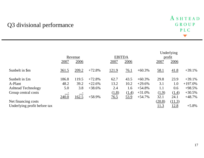# Q3 divisional performance

|                              | Revenue      |             |          |                  | <b>EBITDA</b> |           |              | Underlying<br><u>profit</u> |            |
|------------------------------|--------------|-------------|----------|------------------|---------------|-----------|--------------|-----------------------------|------------|
|                              | 2007         | <u>2006</u> |          | 2007             | <u>2006</u>   |           | 2007         | 2006                        |            |
| Sunbelt in \$m               | <u>361.5</u> | 209.2       | $+72.8%$ | <u>121.9</u>     | <u>76.1</u>   | $+60.3\%$ | <u>58.1</u>  | 41.8                        | $+39.1%$   |
| Sunbelt in £m                | 186.8        | 119.5       | $+72.8%$ | 62.7             | 43.5          | $+60.3%$  | 29.8         | 23.9                        | $+39.1%$   |
| A-Plant                      | 48.2         | 39.2        | $+22.6%$ | 13.2             | 10.2          | $+29.6%$  | 3.1          | 1.0                         | $+197.0\%$ |
| <b>Ashtead Technology</b>    | 5.0          | 3.8         | $+38.6%$ | 2.4              | 1.6           | $+54.8%$  | 1.1          | 0.6                         | $+98.5%$   |
| Group central costs          |              |             |          | (1.8)            | (1.4)         | $+31.0%$  | (1.9)        | (1.4)                       | $+30.5%$   |
|                              | 240.0        | 162.5       | $+58.9%$ | $\frac{76.5}{2}$ | 53.9          | $+54.7%$  | 32.1         | 24.1                        | $+48.7%$   |
| Net financing costs          |              |             |          |                  |               |           | (20.8)       | (11.3)                      |            |
| Underlying profit before tax |              |             |          |                  |               |           | <u> 11.3</u> | 12.8                        | $+5.8\%$   |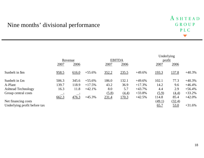### Nine months' divisional performance

|                              | Revenue |       |          |       | <b>EBITDA</b> |          | Underlying<br>profit |             |           |
|------------------------------|---------|-------|----------|-------|---------------|----------|----------------------|-------------|-----------|
|                              | 2007    | 2006  |          | 2007  | 2006          |          | 2007                 | 2006        |           |
| Sunbelt in \$m               | 958.5   | 616.0 | $+55.6%$ | 352.2 | 235.5         | $+49.6%$ | 193.3                | 137.8       | $+40.3%$  |
| Sunbelt in £m                | 506.3   | 345.6 | $+55.6%$ | 186.0 | 132.1         | $+49.6%$ | 102.1                | 77.3        | $+40.3%$  |
| A-Plant                      | 139.7   | 118.9 | $+17.5%$ | 43.2  | 36.9          | $+17.3%$ | 14.2                 | 9.6         | $+46.4%$  |
| <b>Ashtead Technology</b>    | 16.3    | 11.8  | $+42.1%$ | 8.0   | 5.7           | $+43.7%$ | 4.4                  | 2.9         | $+56.4%$  |
| Group central costs          |         |       |          | (5.8) | (4.4)         | $+33.8%$ | (5.9)                | (4.4)       | $+33.2%$  |
|                              | 662.3   | 476.3 | $+45.3%$ | 231.4 | 170.3         | $+42.5%$ | 114.8                | 85.4        | $+42.0\%$ |
| Net financing costs          |         |       |          |       |               |          | (49.1)               | (32.4)      |           |
| Underlying profit before tax |         |       |          |       |               |          | 65.7                 | <u>53.0</u> | $+31.6%$  |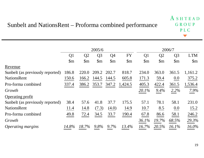|                                  |                |                  | 2005/6           |                  |                  | 2006/7           |                  |                  |                       |
|----------------------------------|----------------|------------------|------------------|------------------|------------------|------------------|------------------|------------------|-----------------------|
|                                  | Q <sub>1</sub> | Q <sub>2</sub>   | Q <sub>3</sub>   | Q4               | <b>FY</b>        | Q <sub>1</sub>   | Q2               | Q <sub>3</sub>   | <b>LTM</b>            |
|                                  | $\mathfrak{m}$ | $\mathbb{S}_{m}$ | $\mathbb{S}_{m}$ | $\mathbb{S}_{m}$ | $\mathbb{S}_{m}$ | $\mathbb{S}_{m}$ | $\mathbb{S}_{m}$ | $\mathbb{S}_{m}$ | $\mathfrak{m}$        |
| Revenue                          |                |                  |                  |                  |                  |                  |                  |                  |                       |
| Sunbelt (as previously reported) | 186.8          | 220.0            | 209.2            | 202.7            | 818.7            | 234.0            | 363.0            | 361.5            | 1,161.2               |
| <b>NationsRent</b>               | 150.6          | 166.2            | 144.5            | 144.5            | 605.8            | 171.3            | 59.4             | 0.0              | 375.2                 |
| Pro-forma combined               | 337.4          | 386.2            | 353.7            | 347.2            | 1,424.5          | 405.3            | 422.4            | 361.5            | 1,536.4               |
| Growth                           |                |                  |                  |                  |                  | 20.1%            | 9.4%             | 2.2%             | $\frac{7.9\%}{4.0\%}$ |
| <b>Operating profit</b>          |                |                  |                  |                  |                  |                  |                  |                  |                       |
| Sunbelt (as previously reported) | 38.4           | 57.6             | 41.8             | 37.7             | 175.5            | 57.1             | 78.1             | 58.1             | 231.0                 |
| <b>NationsRent</b>               | 11.4           | 14.8             | (7.3)            | (4.0)            | 14.9             | 10.7             | 8.5              | 0.0              | 15.2                  |
| Pro-forma combined               | 49.8           | 72.4             | 34.5             | 33.7             | 190.4            | 67.8             | 86.6             | 58.1             | 246.2                 |
| Growth                           |                |                  |                  |                  |                  | 36.1%            | 19.7%            | 68.5%            | 29.3%                 |
| Operating margins                | 14.8%          | 18.7%            | $9.8\%$          | $9.7\%$          | 13.4%            | $16.7\%$         | 20.5%            | 16.1%            | 16.0%                 |